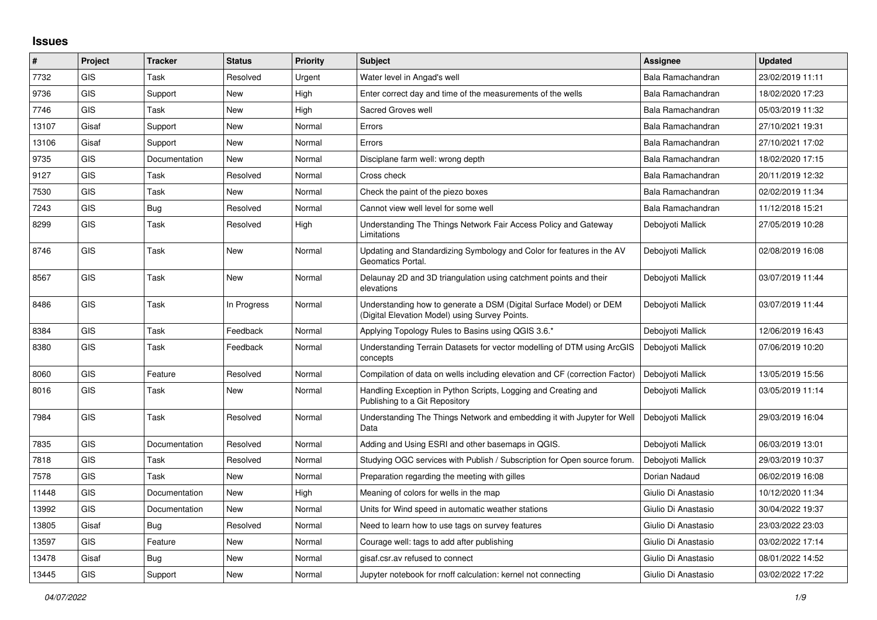## **Issues**

| #     | Project    | <b>Tracker</b> | <b>Status</b> | <b>Priority</b> | Subject                                                                                                              | <b>Assignee</b>     | <b>Updated</b>   |
|-------|------------|----------------|---------------|-----------------|----------------------------------------------------------------------------------------------------------------------|---------------------|------------------|
| 7732  | GIS        | Task           | Resolved      | Urgent          | Water level in Angad's well                                                                                          | Bala Ramachandran   | 23/02/2019 11:11 |
| 9736  | GIS        | Support        | New           | High            | Enter correct day and time of the measurements of the wells                                                          | Bala Ramachandran   | 18/02/2020 17:23 |
| 7746  | <b>GIS</b> | Task           | New           | High            | Sacred Groves well                                                                                                   | Bala Ramachandran   | 05/03/2019 11:32 |
| 13107 | Gisaf      | Support        | New           | Normal          | Errors                                                                                                               | Bala Ramachandran   | 27/10/2021 19:31 |
| 13106 | Gisaf      | Support        | <b>New</b>    | Normal          | Errors                                                                                                               | Bala Ramachandran   | 27/10/2021 17:02 |
| 9735  | <b>GIS</b> | Documentation  | New           | Normal          | Disciplane farm well: wrong depth                                                                                    | Bala Ramachandran   | 18/02/2020 17:15 |
| 9127  | <b>GIS</b> | Task           | Resolved      | Normal          | Cross check                                                                                                          | Bala Ramachandran   | 20/11/2019 12:32 |
| 7530  | <b>GIS</b> | Task           | <b>New</b>    | Normal          | Check the paint of the piezo boxes                                                                                   | Bala Ramachandran   | 02/02/2019 11:34 |
| 7243  | GIS        | Bug            | Resolved      | Normal          | Cannot view well level for some well                                                                                 | Bala Ramachandran   | 11/12/2018 15:21 |
| 8299  | GIS        | Task           | Resolved      | High            | Understanding The Things Network Fair Access Policy and Gateway<br>Limitations                                       | Deboivoti Mallick   | 27/05/2019 10:28 |
| 8746  | <b>GIS</b> | Task           | New           | Normal          | Updating and Standardizing Symbology and Color for features in the AV<br>Geomatics Portal.                           | Debojyoti Mallick   | 02/08/2019 16:08 |
| 8567  | <b>GIS</b> | Task           | New           | Normal          | Delaunay 2D and 3D triangulation using catchment points and their<br>elevations                                      | Debojyoti Mallick   | 03/07/2019 11:44 |
| 8486  | <b>GIS</b> | Task           | In Progress   | Normal          | Understanding how to generate a DSM (Digital Surface Model) or DEM<br>(Digital Elevation Model) using Survey Points. | Debojyoti Mallick   | 03/07/2019 11:44 |
| 8384  | <b>GIS</b> | Task           | Feedback      | Normal          | Applying Topology Rules to Basins using QGIS 3.6.*                                                                   | Debojyoti Mallick   | 12/06/2019 16:43 |
| 8380  | <b>GIS</b> | Task           | Feedback      | Normal          | Understanding Terrain Datasets for vector modelling of DTM using ArcGIS<br>concepts                                  | Debojyoti Mallick   | 07/06/2019 10:20 |
| 8060  | <b>GIS</b> | Feature        | Resolved      | Normal          | Compilation of data on wells including elevation and CF (correction Factor)                                          | Debojyoti Mallick   | 13/05/2019 15:56 |
| 8016  | GIS        | Task           | New           | Normal          | Handling Exception in Python Scripts, Logging and Creating and<br>Publishing to a Git Repository                     | Debojyoti Mallick   | 03/05/2019 11:14 |
| 7984  | <b>GIS</b> | Task           | Resolved      | Normal          | Understanding The Things Network and embedding it with Jupyter for Well<br>Data                                      | Debojyoti Mallick   | 29/03/2019 16:04 |
| 7835  | <b>GIS</b> | Documentation  | Resolved      | Normal          | Adding and Using ESRI and other basemaps in QGIS.                                                                    | Debojyoti Mallick   | 06/03/2019 13:01 |
| 7818  | GIS        | Task           | Resolved      | Normal          | Studying OGC services with Publish / Subscription for Open source forum.                                             | Debojyoti Mallick   | 29/03/2019 10:37 |
| 7578  | <b>GIS</b> | Task           | New           | Normal          | Preparation regarding the meeting with gilles                                                                        | Dorian Nadaud       | 06/02/2019 16:08 |
| 11448 | GIS        | Documentation  | <b>New</b>    | High            | Meaning of colors for wells in the map                                                                               | Giulio Di Anastasio | 10/12/2020 11:34 |
| 13992 | <b>GIS</b> | Documentation  | New           | Normal          | Units for Wind speed in automatic weather stations                                                                   | Giulio Di Anastasio | 30/04/2022 19:37 |
| 13805 | Gisaf      | <b>Bug</b>     | Resolved      | Normal          | Need to learn how to use tags on survey features                                                                     | Giulio Di Anastasio | 23/03/2022 23:03 |
| 13597 | <b>GIS</b> | Feature        | <b>New</b>    | Normal          | Courage well: tags to add after publishing                                                                           | Giulio Di Anastasio | 03/02/2022 17:14 |
| 13478 | Gisaf      | Bug            | <b>New</b>    | Normal          | gisaf.csr.av refused to connect                                                                                      | Giulio Di Anastasio | 08/01/2022 14:52 |
| 13445 | GIS        | Support        | New           | Normal          | Jupyter notebook for rnoff calculation: kernel not connecting                                                        | Giulio Di Anastasio | 03/02/2022 17:22 |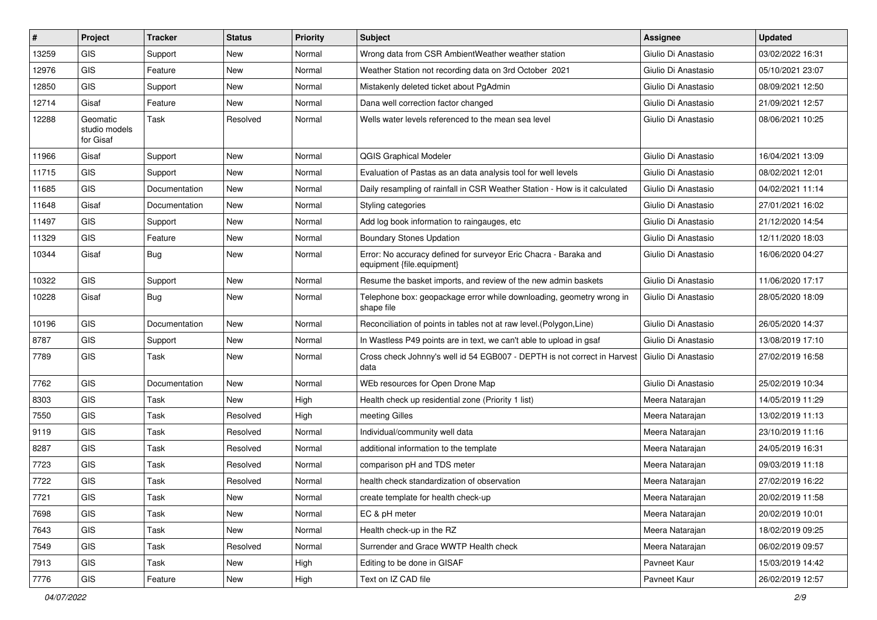| #     | Project                                | <b>Tracker</b> | <b>Status</b> | Priority | Subject                                                                                        | <b>Assignee</b>     | <b>Updated</b>   |
|-------|----------------------------------------|----------------|---------------|----------|------------------------------------------------------------------------------------------------|---------------------|------------------|
| 13259 | <b>GIS</b>                             | Support        | New           | Normal   | Wrong data from CSR AmbientWeather weather station                                             | Giulio Di Anastasio | 03/02/2022 16:31 |
| 12976 | GIS                                    | Feature        | New           | Normal   | Weather Station not recording data on 3rd October 2021                                         | Giulio Di Anastasio | 05/10/2021 23:07 |
| 12850 | <b>GIS</b>                             | Support        | New           | Normal   | Mistakenly deleted ticket about PgAdmin                                                        | Giulio Di Anastasio | 08/09/2021 12:50 |
| 12714 | Gisaf                                  | Feature        | New           | Normal   | Dana well correction factor changed                                                            | Giulio Di Anastasio | 21/09/2021 12:57 |
| 12288 | Geomatic<br>studio models<br>for Gisaf | Task           | Resolved      | Normal   | Wells water levels referenced to the mean sea level                                            | Giulio Di Anastasio | 08/06/2021 10:25 |
| 11966 | Gisaf                                  | Support        | <b>New</b>    | Normal   | QGIS Graphical Modeler                                                                         | Giulio Di Anastasio | 16/04/2021 13:09 |
| 11715 | <b>GIS</b>                             | Support        | New           | Normal   | Evaluation of Pastas as an data analysis tool for well levels                                  | Giulio Di Anastasio | 08/02/2021 12:01 |
| 11685 | GIS                                    | Documentation  | New           | Normal   | Daily resampling of rainfall in CSR Weather Station - How is it calculated                     | Giulio Di Anastasio | 04/02/2021 11:14 |
| 11648 | Gisaf                                  | Documentation  | New           | Normal   | Styling categories                                                                             | Giulio Di Anastasio | 27/01/2021 16:02 |
| 11497 | GIS                                    | Support        | <b>New</b>    | Normal   | Add log book information to raingauges, etc                                                    | Giulio Di Anastasio | 21/12/2020 14:54 |
| 11329 | GIS                                    | Feature        | New           | Normal   | <b>Boundary Stones Updation</b>                                                                | Giulio Di Anastasio | 12/11/2020 18:03 |
| 10344 | Gisaf                                  | <b>Bug</b>     | New           | Normal   | Error: No accuracy defined for surveyor Eric Chacra - Baraka and<br>equipment {file.equipment} | Giulio Di Anastasio | 16/06/2020 04:27 |
| 10322 | <b>GIS</b>                             | Support        | <b>New</b>    | Normal   | Resume the basket imports, and review of the new admin baskets                                 | Giulio Di Anastasio | 11/06/2020 17:17 |
| 10228 | Gisaf                                  | Bug            | New           | Normal   | Telephone box: geopackage error while downloading, geometry wrong in<br>shape file             | Giulio Di Anastasio | 28/05/2020 18:09 |
| 10196 | GIS                                    | Documentation  | New           | Normal   | Reconciliation of points in tables not at raw level. (Polygon, Line)                           | Giulio Di Anastasio | 26/05/2020 14:37 |
| 8787  | GIS                                    | Support        | New           | Normal   | In Wastless P49 points are in text, we can't able to upload in gsaf                            | Giulio Di Anastasio | 13/08/2019 17:10 |
| 7789  | GIS                                    | Task           | New           | Normal   | Cross check Johnny's well id 54 EGB007 - DEPTH is not correct in Harvest<br>data               | Giulio Di Anastasio | 27/02/2019 16:58 |
| 7762  | GIS                                    | Documentation  | New           | Normal   | WEb resources for Open Drone Map                                                               | Giulio Di Anastasio | 25/02/2019 10:34 |
| 8303  | GIS                                    | Task           | <b>New</b>    | High     | Health check up residential zone (Priority 1 list)                                             | Meera Natarajan     | 14/05/2019 11:29 |
| 7550  | GIS                                    | Task           | Resolved      | High     | meeting Gilles                                                                                 | Meera Natarajan     | 13/02/2019 11:13 |
| 9119  | <b>GIS</b>                             | Task           | Resolved      | Normal   | Individual/community well data                                                                 | Meera Natarajan     | 23/10/2019 11:16 |
| 8287  | <b>GIS</b>                             | Task           | Resolved      | Normal   | additional information to the template                                                         | Meera Natarajan     | 24/05/2019 16:31 |
| 7723  | GIS                                    | Task           | Resolved      | Normal   | comparison pH and TDS meter                                                                    | Meera Natarajan     | 09/03/2019 11:18 |
| 7722  | <b>GIS</b>                             | Task           | Resolved      | Normal   | health check standardization of observation                                                    | Meera Natarajan     | 27/02/2019 16:22 |
| 7721  | <b>GIS</b>                             | Task           | New           | Normal   | create template for health check-up                                                            | Meera Natarajan     | 20/02/2019 11:58 |
| 7698  | GIS                                    | Task           | New           | Normal   | EC & pH meter                                                                                  | Meera Natarajan     | 20/02/2019 10:01 |
| 7643  | GIS                                    | Task           | New           | Normal   | Health check-up in the RZ                                                                      | Meera Natarajan     | 18/02/2019 09:25 |
| 7549  | GIS                                    | Task           | Resolved      | Normal   | Surrender and Grace WWTP Health check                                                          | Meera Natarajan     | 06/02/2019 09:57 |
| 7913  | GIS                                    | Task           | New           | High     | Editing to be done in GISAF                                                                    | Pavneet Kaur        | 15/03/2019 14:42 |
| 7776  | GIS                                    | Feature        | New           | High     | Text on IZ CAD file                                                                            | Pavneet Kaur        | 26/02/2019 12:57 |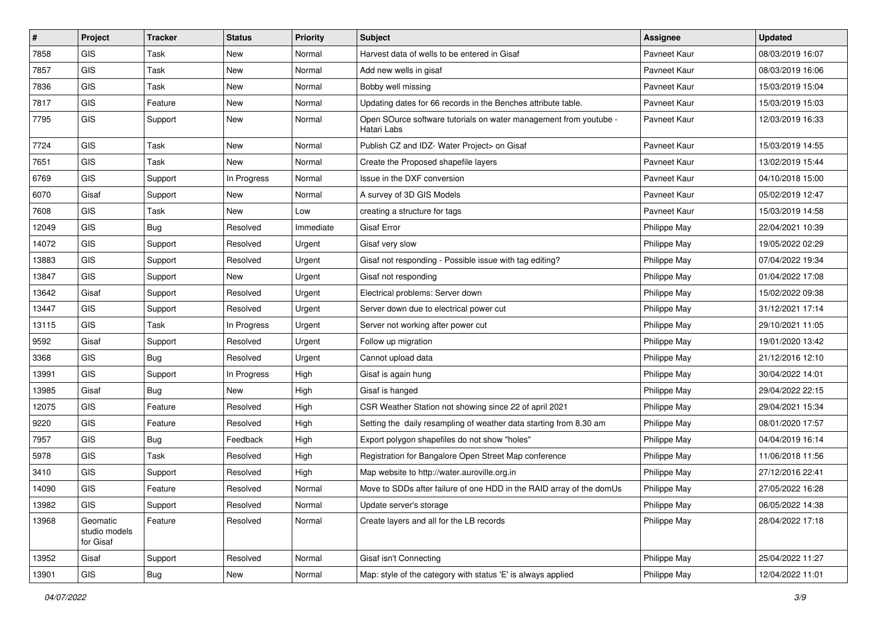| #     | Project                                | <b>Tracker</b> | <b>Status</b> | <b>Priority</b> | <b>Subject</b>                                                                   | <b>Assignee</b> | <b>Updated</b>   |
|-------|----------------------------------------|----------------|---------------|-----------------|----------------------------------------------------------------------------------|-----------------|------------------|
| 7858  | GIS                                    | Task           | <b>New</b>    | Normal          | Harvest data of wells to be entered in Gisaf                                     | Pavneet Kaur    | 08/03/2019 16:07 |
| 7857  | GIS                                    | Task           | <b>New</b>    | Normal          | Add new wells in gisaf                                                           | Pavneet Kaur    | 08/03/2019 16:06 |
| 7836  | <b>GIS</b>                             | Task           | <b>New</b>    | Normal          | Bobby well missing                                                               | Pavneet Kaur    | 15/03/2019 15:04 |
| 7817  | GIS                                    | Feature        | <b>New</b>    | Normal          | Updating dates for 66 records in the Benches attribute table.                    | Pavneet Kaur    | 15/03/2019 15:03 |
| 7795  | GIS                                    | Support        | <b>New</b>    | Normal          | Open SOurce software tutorials on water management from youtube -<br>Hatari Labs | Pavneet Kaur    | 12/03/2019 16:33 |
| 7724  | GIS                                    | Task           | <b>New</b>    | Normal          | Publish CZ and IDZ- Water Project> on Gisaf                                      | Pavneet Kaur    | 15/03/2019 14:55 |
| 7651  | GIS                                    | Task           | <b>New</b>    | Normal          | Create the Proposed shapefile layers                                             | Pavneet Kaur    | 13/02/2019 15:44 |
| 6769  | GIS                                    | Support        | In Progress   | Normal          | Issue in the DXF conversion                                                      | Pavneet Kaur    | 04/10/2018 15:00 |
| 6070  | Gisaf                                  | Support        | <b>New</b>    | Normal          | A survey of 3D GIS Models                                                        | Pavneet Kaur    | 05/02/2019 12:47 |
| 7608  | <b>GIS</b>                             | Task           | New           | Low             | creating a structure for tags                                                    | Pavneet Kaur    | 15/03/2019 14:58 |
| 12049 | GIS                                    | Bug            | Resolved      | Immediate       | Gisaf Error                                                                      | Philippe May    | 22/04/2021 10:39 |
| 14072 | <b>GIS</b>                             | Support        | Resolved      | Urgent          | Gisaf very slow                                                                  | Philippe May    | 19/05/2022 02:29 |
| 13883 | GIS                                    | Support        | Resolved      | Urgent          | Gisaf not responding - Possible issue with tag editing?                          | Philippe May    | 07/04/2022 19:34 |
| 13847 | GIS                                    | Support        | <b>New</b>    | Urgent          | Gisaf not responding                                                             | Philippe May    | 01/04/2022 17:08 |
| 13642 | Gisaf                                  | Support        | Resolved      | Urgent          | Electrical problems: Server down                                                 | Philippe May    | 15/02/2022 09:38 |
| 13447 | <b>GIS</b>                             | Support        | Resolved      | Urgent          | Server down due to electrical power cut                                          | Philippe May    | 31/12/2021 17:14 |
| 13115 | GIS                                    | Task           | In Progress   | Urgent          | Server not working after power cut                                               | Philippe May    | 29/10/2021 11:05 |
| 9592  | Gisaf                                  | Support        | Resolved      | Urgent          | Follow up migration                                                              | Philippe May    | 19/01/2020 13:42 |
| 3368  | GIS                                    | Bug            | Resolved      | Urgent          | Cannot upload data                                                               | Philippe May    | 21/12/2016 12:10 |
| 13991 | GIS                                    | Support        | In Progress   | High            | Gisaf is again hung                                                              | Philippe May    | 30/04/2022 14:01 |
| 13985 | Gisaf                                  | Bug            | <b>New</b>    | High            | Gisaf is hanged                                                                  | Philippe May    | 29/04/2022 22:15 |
| 12075 | GIS                                    | Feature        | Resolved      | High            | CSR Weather Station not showing since 22 of april 2021                           | Philippe May    | 29/04/2021 15:34 |
| 9220  | <b>GIS</b>                             | Feature        | Resolved      | High            | Setting the daily resampling of weather data starting from 8.30 am               | Philippe May    | 08/01/2020 17:57 |
| 7957  | GIS                                    | Bug            | Feedback      | High            | Export polygon shapefiles do not show "holes"                                    | Philippe May    | 04/04/2019 16:14 |
| 5978  | GIS                                    | Task           | Resolved      | High            | Registration for Bangalore Open Street Map conference                            | Philippe May    | 11/06/2018 11:56 |
| 3410  | GIS                                    | Support        | Resolved      | High            | Map website to http://water.auroville.org.in                                     | Philippe May    | 27/12/2016 22:41 |
| 14090 | GIS                                    | Feature        | Resolved      | Normal          | Move to SDDs after failure of one HDD in the RAID array of the domUs             | Philippe May    | 27/05/2022 16:28 |
| 13982 | <b>GIS</b>                             | Support        | Resolved      | Normal          | Update server's storage                                                          | Philippe May    | 06/05/2022 14:38 |
| 13968 | Geomatic<br>studio models<br>for Gisaf | Feature        | Resolved      | Normal          | Create layers and all for the LB records                                         | Philippe May    | 28/04/2022 17:18 |
| 13952 | Gisaf                                  | Support        | Resolved      | Normal          | Gisaf isn't Connecting                                                           | Philippe May    | 25/04/2022 11:27 |
| 13901 | GIS                                    | Bug            | New           | Normal          | Map: style of the category with status 'E' is always applied                     | Philippe May    | 12/04/2022 11:01 |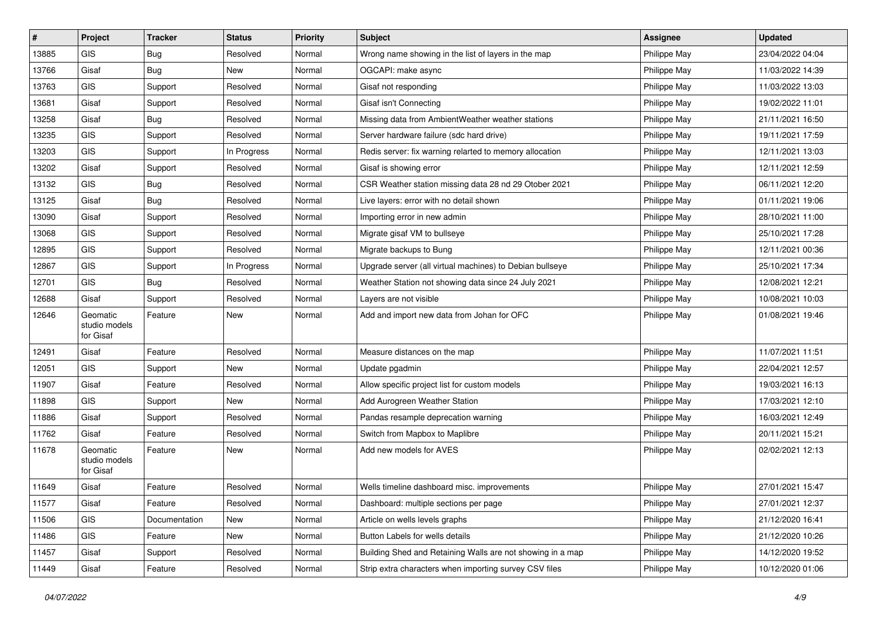| #     | Project                                | <b>Tracker</b> | <b>Status</b> | <b>Priority</b> | <b>Subject</b>                                             | <b>Assignee</b> | <b>Updated</b>   |
|-------|----------------------------------------|----------------|---------------|-----------------|------------------------------------------------------------|-----------------|------------------|
| 13885 | <b>GIS</b>                             | Bug            | Resolved      | Normal          | Wrong name showing in the list of layers in the map        | Philippe May    | 23/04/2022 04:04 |
| 13766 | Gisaf                                  | <b>Bug</b>     | New           | Normal          | OGCAPI: make async                                         | Philippe May    | 11/03/2022 14:39 |
| 13763 | GIS                                    | Support        | Resolved      | Normal          | Gisaf not responding                                       | Philippe May    | 11/03/2022 13:03 |
| 13681 | Gisaf                                  | Support        | Resolved      | Normal          | Gisaf isn't Connecting                                     | Philippe May    | 19/02/2022 11:01 |
| 13258 | Gisaf                                  | Bug            | Resolved      | Normal          | Missing data from AmbientWeather weather stations          | Philippe May    | 21/11/2021 16:50 |
| 13235 | <b>GIS</b>                             | Support        | Resolved      | Normal          | Server hardware failure (sdc hard drive)                   | Philippe May    | 19/11/2021 17:59 |
| 13203 | GIS                                    | Support        | In Progress   | Normal          | Redis server: fix warning relarted to memory allocation    | Philippe May    | 12/11/2021 13:03 |
| 13202 | Gisaf                                  | Support        | Resolved      | Normal          | Gisaf is showing error                                     | Philippe May    | 12/11/2021 12:59 |
| 13132 | GIS                                    | Bug            | Resolved      | Normal          | CSR Weather station missing data 28 nd 29 Otober 2021      | Philippe May    | 06/11/2021 12:20 |
| 13125 | Gisaf                                  | Bug            | Resolved      | Normal          | Live layers: error with no detail shown                    | Philippe May    | 01/11/2021 19:06 |
| 13090 | Gisaf                                  | Support        | Resolved      | Normal          | Importing error in new admin                               | Philippe May    | 28/10/2021 11:00 |
| 13068 | GIS                                    | Support        | Resolved      | Normal          | Migrate gisaf VM to bullseye                               | Philippe May    | 25/10/2021 17:28 |
| 12895 | GIS                                    | Support        | Resolved      | Normal          | Migrate backups to Bung                                    | Philippe May    | 12/11/2021 00:36 |
| 12867 | GIS                                    | Support        | In Progress   | Normal          | Upgrade server (all virtual machines) to Debian bullseye   | Philippe May    | 25/10/2021 17:34 |
| 12701 | GIS                                    | Bug            | Resolved      | Normal          | Weather Station not showing data since 24 July 2021        | Philippe May    | 12/08/2021 12:21 |
| 12688 | Gisaf                                  | Support        | Resolved      | Normal          | Layers are not visible                                     | Philippe May    | 10/08/2021 10:03 |
| 12646 | Geomatic<br>studio models<br>for Gisaf | Feature        | New           | Normal          | Add and import new data from Johan for OFC                 | Philippe May    | 01/08/2021 19:46 |
| 12491 | Gisaf                                  | Feature        | Resolved      | Normal          | Measure distances on the map                               | Philippe May    | 11/07/2021 11:51 |
| 12051 | <b>GIS</b>                             | Support        | New           | Normal          | Update pgadmin                                             | Philippe May    | 22/04/2021 12:57 |
| 11907 | Gisaf                                  | Feature        | Resolved      | Normal          | Allow specific project list for custom models              | Philippe May    | 19/03/2021 16:13 |
| 11898 | <b>GIS</b>                             | Support        | <b>New</b>    | Normal          | Add Aurogreen Weather Station                              | Philippe May    | 17/03/2021 12:10 |
| 11886 | Gisaf                                  | Support        | Resolved      | Normal          | Pandas resample deprecation warning                        | Philippe May    | 16/03/2021 12:49 |
| 11762 | Gisaf                                  | Feature        | Resolved      | Normal          | Switch from Mapbox to Maplibre                             | Philippe May    | 20/11/2021 15:21 |
| 11678 | Geomatic<br>studio models<br>for Gisaf | Feature        | New           | Normal          | Add new models for AVES                                    | Philippe May    | 02/02/2021 12:13 |
| 11649 | Gisaf                                  | Feature        | Resolved      | Normal          | Wells timeline dashboard misc. improvements                | Philippe May    | 27/01/2021 15:47 |
| 11577 | Gisaf                                  | Feature        | Resolved      | Normal          | Dashboard: multiple sections per page                      | Philippe May    | 27/01/2021 12:37 |
| 11506 | GIS                                    | Documentation  | New           | Normal          | Article on wells levels graphs                             | Philippe May    | 21/12/2020 16:41 |
| 11486 | GIS                                    | Feature        | New           | Normal          | Button Labels for wells details                            | Philippe May    | 21/12/2020 10:26 |
| 11457 | Gisaf                                  | Support        | Resolved      | Normal          | Building Shed and Retaining Walls are not showing in a map | Philippe May    | 14/12/2020 19:52 |
| 11449 | Gisaf                                  | Feature        | Resolved      | Normal          | Strip extra characters when importing survey CSV files     | Philippe May    | 10/12/2020 01:06 |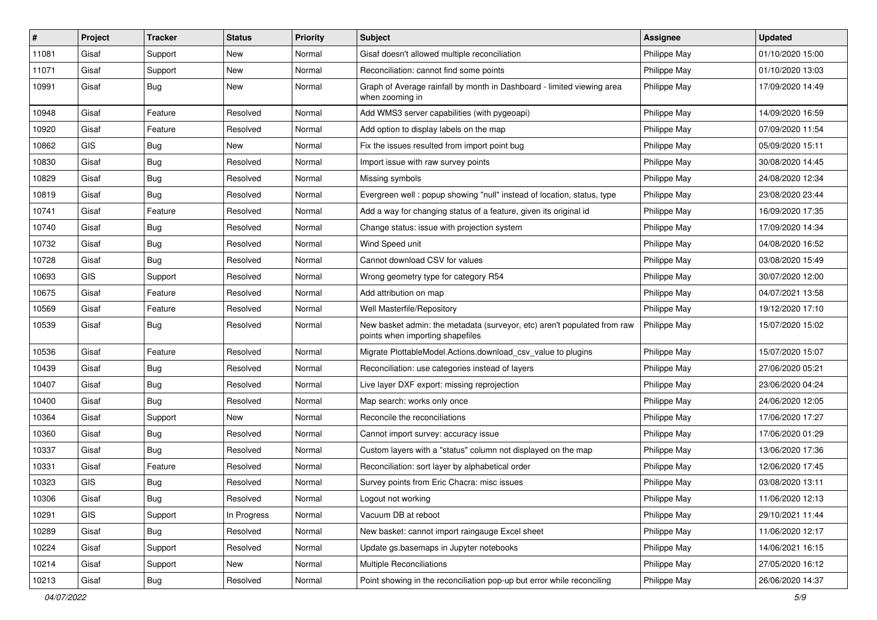| #     | Project    | <b>Tracker</b> | <b>Status</b> | <b>Priority</b> | Subject                                                                                                      | Assignee     | <b>Updated</b>   |
|-------|------------|----------------|---------------|-----------------|--------------------------------------------------------------------------------------------------------------|--------------|------------------|
| 11081 | Gisaf      | Support        | New           | Normal          | Gisaf doesn't allowed multiple reconciliation                                                                | Philippe May | 01/10/2020 15:00 |
| 11071 | Gisaf      | Support        | <b>New</b>    | Normal          | Reconciliation: cannot find some points                                                                      | Philippe May | 01/10/2020 13:03 |
| 10991 | Gisaf      | Bug            | New           | Normal          | Graph of Average rainfall by month in Dashboard - limited viewing area<br>when zooming in                    | Philippe May | 17/09/2020 14:49 |
| 10948 | Gisaf      | Feature        | Resolved      | Normal          | Add WMS3 server capabilities (with pygeoapi)                                                                 | Philippe May | 14/09/2020 16:59 |
| 10920 | Gisaf      | Feature        | Resolved      | Normal          | Add option to display labels on the map                                                                      | Philippe May | 07/09/2020 11:54 |
| 10862 | GIS        | <b>Bug</b>     | New           | Normal          | Fix the issues resulted from import point bug                                                                | Philippe May | 05/09/2020 15:11 |
| 10830 | Gisaf      | Bug            | Resolved      | Normal          | Import issue with raw survey points                                                                          | Philippe May | 30/08/2020 14:45 |
| 10829 | Gisaf      | Bug            | Resolved      | Normal          | Missing symbols                                                                                              | Philippe May | 24/08/2020 12:34 |
| 10819 | Gisaf      | <b>Bug</b>     | Resolved      | Normal          | Evergreen well: popup showing "null" instead of location, status, type                                       | Philippe May | 23/08/2020 23:44 |
| 10741 | Gisaf      | Feature        | Resolved      | Normal          | Add a way for changing status of a feature, given its original id                                            | Philippe May | 16/09/2020 17:35 |
| 10740 | Gisaf      | <b>Bug</b>     | Resolved      | Normal          | Change status: issue with projection system                                                                  | Philippe May | 17/09/2020 14:34 |
| 10732 | Gisaf      | <b>Bug</b>     | Resolved      | Normal          | Wind Speed unit                                                                                              | Philippe May | 04/08/2020 16:52 |
| 10728 | Gisaf      | Bug            | Resolved      | Normal          | Cannot download CSV for values                                                                               | Philippe May | 03/08/2020 15:49 |
| 10693 | GIS        | Support        | Resolved      | Normal          | Wrong geometry type for category R54                                                                         | Philippe May | 30/07/2020 12:00 |
| 10675 | Gisaf      | Feature        | Resolved      | Normal          | Add attribution on map                                                                                       | Philippe May | 04/07/2021 13:58 |
| 10569 | Gisaf      | Feature        | Resolved      | Normal          | Well Masterfile/Repository                                                                                   | Philippe May | 19/12/2020 17:10 |
| 10539 | Gisaf      | Bug            | Resolved      | Normal          | New basket admin: the metadata (surveyor, etc) aren't populated from raw<br>points when importing shapefiles | Philippe May | 15/07/2020 15:02 |
| 10536 | Gisaf      | Feature        | Resolved      | Normal          | Migrate PlottableModel.Actions.download csv value to plugins                                                 | Philippe May | 15/07/2020 15:07 |
| 10439 | Gisaf      | <b>Bug</b>     | Resolved      | Normal          | Reconciliation: use categories instead of layers                                                             | Philippe May | 27/06/2020 05:21 |
| 10407 | Gisaf      | Bug            | Resolved      | Normal          | Live layer DXF export: missing reprojection                                                                  | Philippe May | 23/06/2020 04:24 |
| 10400 | Gisaf      | Bug            | Resolved      | Normal          | Map search: works only once                                                                                  | Philippe May | 24/06/2020 12:05 |
| 10364 | Gisaf      | Support        | New           | Normal          | Reconcile the reconciliations                                                                                | Philippe May | 17/06/2020 17:27 |
| 10360 | Gisaf      | <b>Bug</b>     | Resolved      | Normal          | Cannot import survey: accuracy issue                                                                         | Philippe May | 17/06/2020 01:29 |
| 10337 | Gisaf      | Bug            | Resolved      | Normal          | Custom layers with a "status" column not displayed on the map                                                | Philippe May | 13/06/2020 17:36 |
| 10331 | Gisaf      | Feature        | Resolved      | Normal          | Reconciliation: sort layer by alphabetical order                                                             | Philippe May | 12/06/2020 17:45 |
| 10323 | <b>GIS</b> | <b>Bug</b>     | Resolved      | Normal          | Survey points from Eric Chacra: misc issues                                                                  | Philippe May | 03/08/2020 13:11 |
| 10306 | Gisaf      | Bug            | Resolved      | Normal          | Logout not working                                                                                           | Philippe May | 11/06/2020 12:13 |
| 10291 | GIS        | Support        | In Progress   | Normal          | Vacuum DB at reboot                                                                                          | Philippe May | 29/10/2021 11:44 |
| 10289 | Gisaf      | <b>Bug</b>     | Resolved      | Normal          | New basket: cannot import raingauge Excel sheet                                                              | Philippe May | 11/06/2020 12:17 |
| 10224 | Gisaf      | Support        | Resolved      | Normal          | Update gs.basemaps in Jupyter notebooks                                                                      | Philippe May | 14/06/2021 16:15 |
| 10214 | Gisaf      | Support        | New           | Normal          | Multiple Reconciliations                                                                                     | Philippe May | 27/05/2020 16:12 |
| 10213 | Gisaf      | Bug            | Resolved      | Normal          | Point showing in the reconciliation pop-up but error while reconciling                                       | Philippe May | 26/06/2020 14:37 |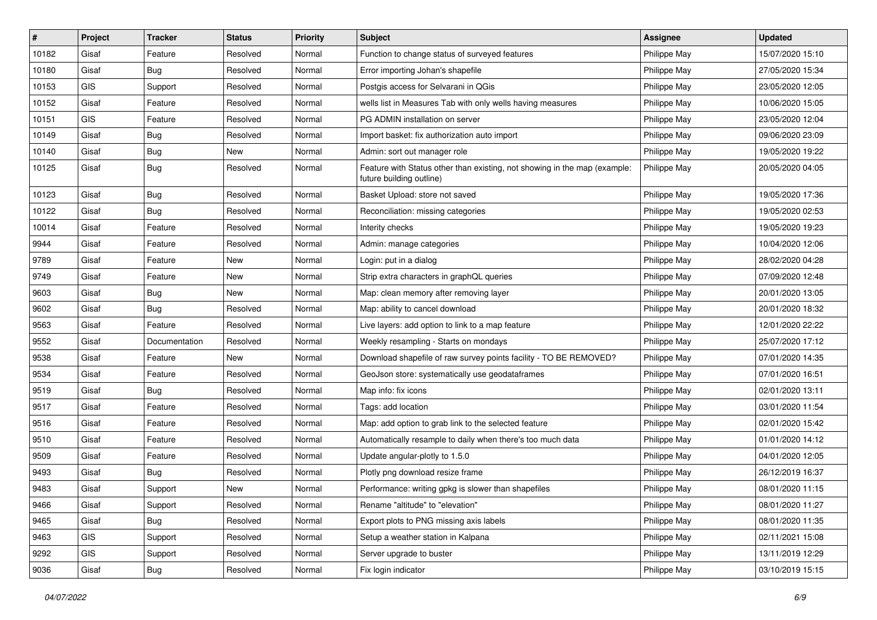| #     | Project    | <b>Tracker</b> | <b>Status</b> | <b>Priority</b> | Subject                                                                                               | <b>Assignee</b> | <b>Updated</b>   |
|-------|------------|----------------|---------------|-----------------|-------------------------------------------------------------------------------------------------------|-----------------|------------------|
| 10182 | Gisaf      | Feature        | Resolved      | Normal          | Function to change status of surveyed features                                                        | Philippe May    | 15/07/2020 15:10 |
| 10180 | Gisaf      | <b>Bug</b>     | Resolved      | Normal          | Error importing Johan's shapefile                                                                     | Philippe May    | 27/05/2020 15:34 |
| 10153 | <b>GIS</b> | Support        | Resolved      | Normal          | Postgis access for Selvarani in QGis                                                                  | Philippe May    | 23/05/2020 12:05 |
| 10152 | Gisaf      | Feature        | Resolved      | Normal          | wells list in Measures Tab with only wells having measures                                            | Philippe May    | 10/06/2020 15:05 |
| 10151 | GIS        | Feature        | Resolved      | Normal          | PG ADMIN installation on server                                                                       | Philippe May    | 23/05/2020 12:04 |
| 10149 | Gisaf      | <b>Bug</b>     | Resolved      | Normal          | Import basket: fix authorization auto import                                                          | Philippe May    | 09/06/2020 23:09 |
| 10140 | Gisaf      | <b>Bug</b>     | New           | Normal          | Admin: sort out manager role                                                                          | Philippe May    | 19/05/2020 19:22 |
| 10125 | Gisaf      | Bug            | Resolved      | Normal          | Feature with Status other than existing, not showing in the map (example:<br>future building outline) | Philippe May    | 20/05/2020 04:05 |
| 10123 | Gisaf      | Bug            | Resolved      | Normal          | Basket Upload: store not saved                                                                        | Philippe May    | 19/05/2020 17:36 |
| 10122 | Gisaf      | Bug            | Resolved      | Normal          | Reconciliation: missing categories                                                                    | Philippe May    | 19/05/2020 02:53 |
| 10014 | Gisaf      | Feature        | Resolved      | Normal          | Interity checks                                                                                       | Philippe May    | 19/05/2020 19:23 |
| 9944  | Gisaf      | Feature        | Resolved      | Normal          | Admin: manage categories                                                                              | Philippe May    | 10/04/2020 12:06 |
| 9789  | Gisaf      | Feature        | New           | Normal          | Login: put in a dialog                                                                                | Philippe May    | 28/02/2020 04:28 |
| 9749  | Gisaf      | Feature        | <b>New</b>    | Normal          | Strip extra characters in graphQL queries                                                             | Philippe May    | 07/09/2020 12:48 |
| 9603  | Gisaf      | Bug            | New           | Normal          | Map: clean memory after removing layer                                                                | Philippe May    | 20/01/2020 13:05 |
| 9602  | Gisaf      | <b>Bug</b>     | Resolved      | Normal          | Map: ability to cancel download                                                                       | Philippe May    | 20/01/2020 18:32 |
| 9563  | Gisaf      | Feature        | Resolved      | Normal          | Live layers: add option to link to a map feature                                                      | Philippe May    | 12/01/2020 22:22 |
| 9552  | Gisaf      | Documentation  | Resolved      | Normal          | Weekly resampling - Starts on mondays                                                                 | Philippe May    | 25/07/2020 17:12 |
| 9538  | Gisaf      | Feature        | New           | Normal          | Download shapefile of raw survey points facility - TO BE REMOVED?                                     | Philippe May    | 07/01/2020 14:35 |
| 9534  | Gisaf      | Feature        | Resolved      | Normal          | GeoJson store: systematically use geodataframes                                                       | Philippe May    | 07/01/2020 16:51 |
| 9519  | Gisaf      | Bug            | Resolved      | Normal          | Map info: fix icons                                                                                   | Philippe May    | 02/01/2020 13:11 |
| 9517  | Gisaf      | Feature        | Resolved      | Normal          | Tags: add location                                                                                    | Philippe May    | 03/01/2020 11:54 |
| 9516  | Gisaf      | Feature        | Resolved      | Normal          | Map: add option to grab link to the selected feature                                                  | Philippe May    | 02/01/2020 15:42 |
| 9510  | Gisaf      | Feature        | Resolved      | Normal          | Automatically resample to daily when there's too much data                                            | Philippe May    | 01/01/2020 14:12 |
| 9509  | Gisaf      | Feature        | Resolved      | Normal          | Update angular-plotly to 1.5.0                                                                        | Philippe May    | 04/01/2020 12:05 |
| 9493  | Gisaf      | Bug            | Resolved      | Normal          | Plotly png download resize frame                                                                      | Philippe May    | 26/12/2019 16:37 |
| 9483  | Gisaf      | Support        | New           | Normal          | Performance: writing gpkg is slower than shapefiles                                                   | Philippe May    | 08/01/2020 11:15 |
| 9466  | Gisaf      | Support        | Resolved      | Normal          | Rename "altitude" to "elevation"                                                                      | Philippe May    | 08/01/2020 11:27 |
| 9465  | Gisaf      | Bug            | Resolved      | Normal          | Export plots to PNG missing axis labels                                                               | Philippe May    | 08/01/2020 11:35 |
| 9463  | GIS        | Support        | Resolved      | Normal          | Setup a weather station in Kalpana                                                                    | Philippe May    | 02/11/2021 15:08 |
| 9292  | GIS        | Support        | Resolved      | Normal          | Server upgrade to buster                                                                              | Philippe May    | 13/11/2019 12:29 |
| 9036  | Gisaf      | <b>Bug</b>     | Resolved      | Normal          | Fix login indicator                                                                                   | Philippe May    | 03/10/2019 15:15 |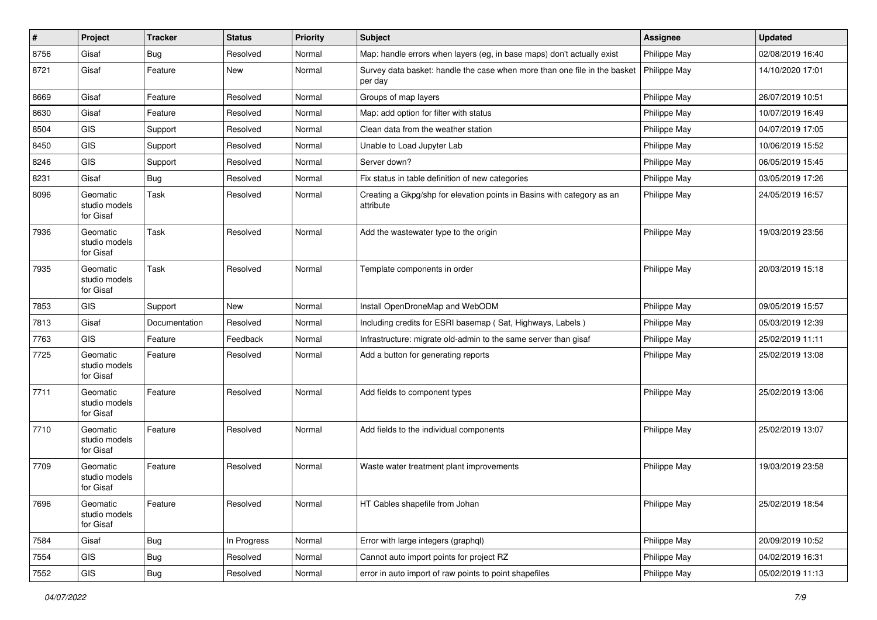| $\vert$ # | Project                                | <b>Tracker</b> | <b>Status</b> | <b>Priority</b> | <b>Subject</b>                                                                       | Assignee     | <b>Updated</b>   |
|-----------|----------------------------------------|----------------|---------------|-----------------|--------------------------------------------------------------------------------------|--------------|------------------|
| 8756      | Gisaf                                  | Bug            | Resolved      | Normal          | Map: handle errors when layers (eg, in base maps) don't actually exist               | Philippe May | 02/08/2019 16:40 |
| 8721      | Gisaf                                  | Feature        | New           | Normal          | Survey data basket: handle the case when more than one file in the basket<br>per day | Philippe May | 14/10/2020 17:01 |
| 8669      | Gisaf                                  | Feature        | Resolved      | Normal          | Groups of map layers                                                                 | Philippe May | 26/07/2019 10:51 |
| 8630      | Gisaf                                  | Feature        | Resolved      | Normal          | Map: add option for filter with status                                               | Philippe May | 10/07/2019 16:49 |
| 8504      | <b>GIS</b>                             | Support        | Resolved      | Normal          | Clean data from the weather station                                                  | Philippe May | 04/07/2019 17:05 |
| 8450      | GIS                                    | Support        | Resolved      | Normal          | Unable to Load Jupyter Lab                                                           | Philippe May | 10/06/2019 15:52 |
| 8246      | GIS                                    | Support        | Resolved      | Normal          | Server down?                                                                         | Philippe May | 06/05/2019 15:45 |
| 8231      | Gisaf                                  | Bug            | Resolved      | Normal          | Fix status in table definition of new categories                                     | Philippe May | 03/05/2019 17:26 |
| 8096      | Geomatic<br>studio models<br>for Gisaf | Task           | Resolved      | Normal          | Creating a Gkpg/shp for elevation points in Basins with category as an<br>attribute  | Philippe May | 24/05/2019 16:57 |
| 7936      | Geomatic<br>studio models<br>for Gisaf | Task           | Resolved      | Normal          | Add the wastewater type to the origin                                                | Philippe May | 19/03/2019 23:56 |
| 7935      | Geomatic<br>studio models<br>for Gisaf | Task           | Resolved      | Normal          | Template components in order                                                         | Philippe May | 20/03/2019 15:18 |
| 7853      | GIS                                    | Support        | <b>New</b>    | Normal          | Install OpenDroneMap and WebODM                                                      | Philippe May | 09/05/2019 15:57 |
| 7813      | Gisaf                                  | Documentation  | Resolved      | Normal          | Including credits for ESRI basemap (Sat, Highways, Labels)                           | Philippe May | 05/03/2019 12:39 |
| 7763      | GIS                                    | Feature        | Feedback      | Normal          | Infrastructure: migrate old-admin to the same server than gisaf                      | Philippe May | 25/02/2019 11:11 |
| 7725      | Geomatic<br>studio models<br>for Gisaf | Feature        | Resolved      | Normal          | Add a button for generating reports                                                  | Philippe May | 25/02/2019 13:08 |
| 7711      | Geomatic<br>studio models<br>for Gisaf | Feature        | Resolved      | Normal          | Add fields to component types                                                        | Philippe May | 25/02/2019 13:06 |
| 7710      | Geomatic<br>studio models<br>for Gisaf | Feature        | Resolved      | Normal          | Add fields to the individual components                                              | Philippe May | 25/02/2019 13:07 |
| 7709      | Geomatic<br>studio models<br>for Gisaf | Feature        | Resolved      | Normal          | Waste water treatment plant improvements                                             | Philippe May | 19/03/2019 23:58 |
| 7696      | Geomatic<br>studio models<br>for Gisaf | Feature        | Resolved      | Normal          | HT Cables shapefile from Johan                                                       | Philippe May | 25/02/2019 18:54 |
| 7584      | Gisaf                                  | <b>Bug</b>     | In Progress   | Normal          | Error with large integers (graphql)                                                  | Philippe May | 20/09/2019 10:52 |
| 7554      | GIS                                    | <b>Bug</b>     | Resolved      | Normal          | Cannot auto import points for project RZ                                             | Philippe May | 04/02/2019 16:31 |
| 7552      | GIS                                    | Bug            | Resolved      | Normal          | error in auto import of raw points to point shapefiles                               | Philippe May | 05/02/2019 11:13 |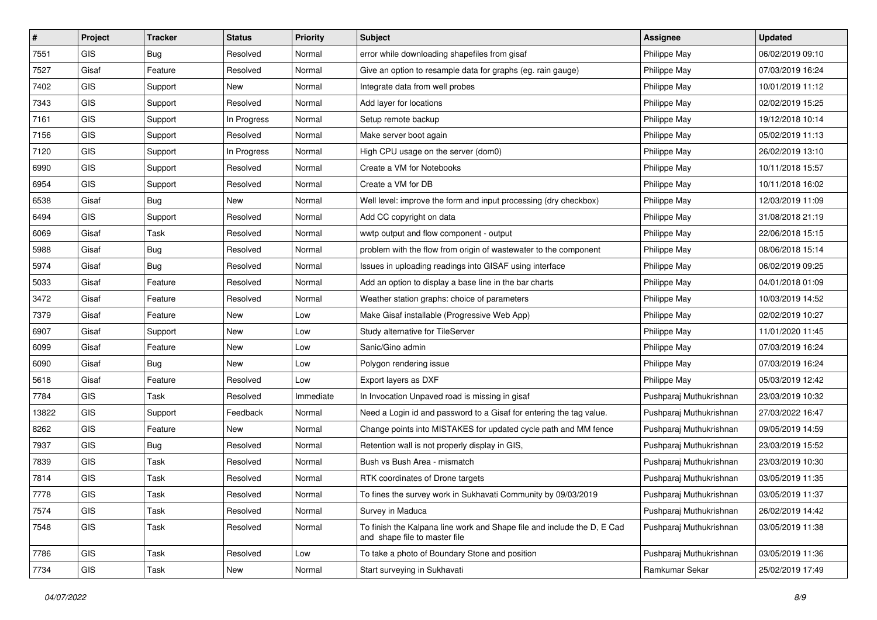| #     | Project    | <b>Tracker</b> | <b>Status</b> | <b>Priority</b> | <b>Subject</b>                                                                                           | Assignee                | <b>Updated</b>   |
|-------|------------|----------------|---------------|-----------------|----------------------------------------------------------------------------------------------------------|-------------------------|------------------|
| 7551  | <b>GIS</b> | <b>Bug</b>     | Resolved      | Normal          | error while downloading shapefiles from gisaf                                                            | Philippe May            | 06/02/2019 09:10 |
| 7527  | Gisaf      | Feature        | Resolved      | Normal          | Give an option to resample data for graphs (eg. rain gauge)                                              | Philippe May            | 07/03/2019 16:24 |
| 7402  | <b>GIS</b> | Support        | New           | Normal          | Integrate data from well probes                                                                          | Philippe May            | 10/01/2019 11:12 |
| 7343  | GIS        | Support        | Resolved      | Normal          | Add layer for locations                                                                                  | Philippe May            | 02/02/2019 15:25 |
| 7161  | <b>GIS</b> | Support        | In Progress   | Normal          | Setup remote backup                                                                                      | Philippe May            | 19/12/2018 10:14 |
| 7156  | <b>GIS</b> | Support        | Resolved      | Normal          | Make server boot again                                                                                   | Philippe May            | 05/02/2019 11:13 |
| 7120  | GIS        | Support        | In Progress   | Normal          | High CPU usage on the server (dom0)                                                                      | Philippe May            | 26/02/2019 13:10 |
| 6990  | <b>GIS</b> | Support        | Resolved      | Normal          | Create a VM for Notebooks                                                                                | Philippe May            | 10/11/2018 15:57 |
| 6954  | <b>GIS</b> | Support        | Resolved      | Normal          | Create a VM for DB                                                                                       | Philippe May            | 10/11/2018 16:02 |
| 6538  | Gisaf      | <b>Bug</b>     | New           | Normal          | Well level: improve the form and input processing (dry checkbox)                                         | Philippe May            | 12/03/2019 11:09 |
| 6494  | <b>GIS</b> | Support        | Resolved      | Normal          | Add CC copyright on data                                                                                 | Philippe May            | 31/08/2018 21:19 |
| 6069  | Gisaf      | Task           | Resolved      | Normal          | wwtp output and flow component - output                                                                  | Philippe May            | 22/06/2018 15:15 |
| 5988  | Gisaf      | <b>Bug</b>     | Resolved      | Normal          | problem with the flow from origin of wastewater to the component                                         | Philippe May            | 08/06/2018 15:14 |
| 5974  | Gisaf      | <b>Bug</b>     | Resolved      | Normal          | Issues in uploading readings into GISAF using interface                                                  | Philippe May            | 06/02/2019 09:25 |
| 5033  | Gisaf      | Feature        | Resolved      | Normal          | Add an option to display a base line in the bar charts                                                   | Philippe May            | 04/01/2018 01:09 |
| 3472  | Gisaf      | Feature        | Resolved      | Normal          | Weather station graphs: choice of parameters                                                             | Philippe May            | 10/03/2019 14:52 |
| 7379  | Gisaf      | Feature        | New           | Low             | Make Gisaf installable (Progressive Web App)                                                             | Philippe May            | 02/02/2019 10:27 |
| 6907  | Gisaf      | Support        | New           | Low             | Study alternative for TileServer                                                                         | Philippe May            | 11/01/2020 11:45 |
| 6099  | Gisaf      | Feature        | New           | Low             | Sanic/Gino admin                                                                                         | Philippe May            | 07/03/2019 16:24 |
| 6090  | Gisaf      | <b>Bug</b>     | New           | Low             | Polygon rendering issue                                                                                  | Philippe May            | 07/03/2019 16:24 |
| 5618  | Gisaf      | Feature        | Resolved      | Low             | Export layers as DXF                                                                                     | Philippe May            | 05/03/2019 12:42 |
| 7784  | <b>GIS</b> | Task           | Resolved      | Immediate       | In Invocation Unpaved road is missing in gisaf                                                           | Pushparaj Muthukrishnan | 23/03/2019 10:32 |
| 13822 | <b>GIS</b> | Support        | Feedback      | Normal          | Need a Login id and password to a Gisaf for entering the tag value.                                      | Pushparaj Muthukrishnan | 27/03/2022 16:47 |
| 8262  | GIS        | Feature        | New           | Normal          | Change points into MISTAKES for updated cycle path and MM fence                                          | Pushparaj Muthukrishnan | 09/05/2019 14:59 |
| 7937  | <b>GIS</b> | <b>Bug</b>     | Resolved      | Normal          | Retention wall is not properly display in GIS,                                                           | Pushparaj Muthukrishnan | 23/03/2019 15:52 |
| 7839  | <b>GIS</b> | Task           | Resolved      | Normal          | Bush vs Bush Area - mismatch                                                                             | Pushparaj Muthukrishnan | 23/03/2019 10:30 |
| 7814  | <b>GIS</b> | Task           | Resolved      | Normal          | RTK coordinates of Drone targets                                                                         | Pushparaj Muthukrishnan | 03/05/2019 11:35 |
| 7778  | GIS        | Task           | Resolved      | Normal          | To fines the survey work in Sukhavati Community by 09/03/2019                                            | Pushparaj Muthukrishnan | 03/05/2019 11:37 |
| 7574  | <b>GIS</b> | Task           | Resolved      | Normal          | Survey in Maduca                                                                                         | Pushparaj Muthukrishnan | 26/02/2019 14:42 |
| 7548  | GIS        | Task           | Resolved      | Normal          | To finish the Kalpana line work and Shape file and include the D, E Cad<br>and shape file to master file | Pushparaj Muthukrishnan | 03/05/2019 11:38 |
| 7786  | GIS        | Task           | Resolved      | Low             | To take a photo of Boundary Stone and position                                                           | Pushparaj Muthukrishnan | 03/05/2019 11:36 |
| 7734  | <b>GIS</b> | Task           | New           | Normal          | Start surveying in Sukhavati                                                                             | Ramkumar Sekar          | 25/02/2019 17:49 |